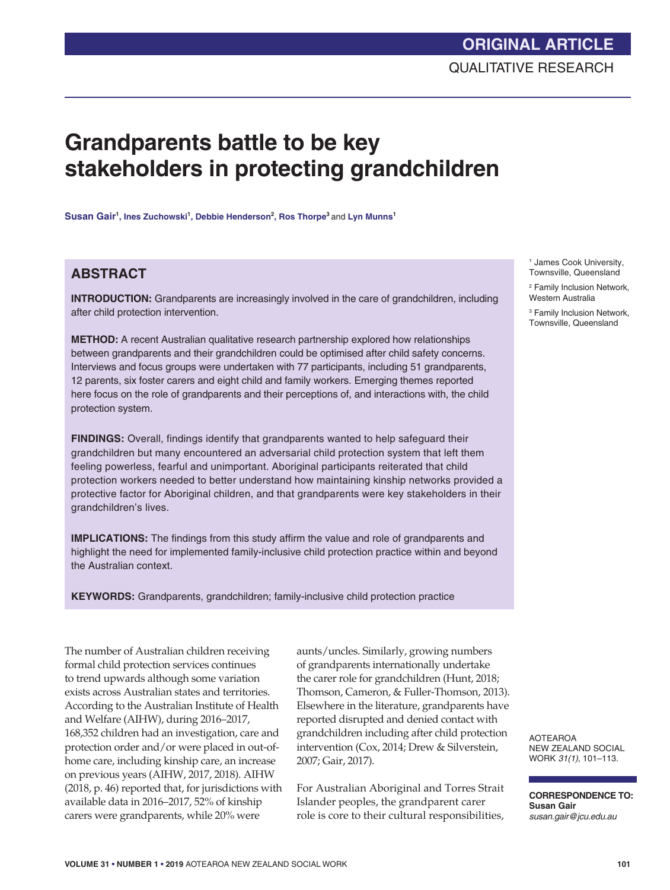# **Grandparents battle to be key stakeholders in protecting grandchildren**

 $\boldsymbol{\mathsf{S}}$ usan  $\boldsymbol{\mathsf{Gain}}^1$ , Ines Zuchowski<sup>1</sup>, Debbie Henderson<sup>2</sup>, Ros Thorpe<sup>3</sup> and Lyn Munns<sup>1</sup>

# **ABSTRACT**

**INTRODUCTION:** Grandparents are increasingly involved in the care of grandchildren, including after child protection intervention.

**METHOD:** A recent Australian qualitative research partnership explored how relationships between grandparents and their grandchildren could be optimised after child safety concerns. Interviews and focus groups were undertaken with 77 participants, including 51 grandparents, 12 parents, six foster carers and eight child and family workers. Emerging themes reported here focus on the role of grandparents and their perceptions of, and interactions with, the child protection system.

**FINDINGS:** Overall, findings identify that grandparents wanted to help safeguard their grandchildren but many encountered an adversarial child protection system that left them feeling powerless, fearful and unimportant. Aboriginal participants reiterated that child protection workers needed to better understand how maintaining kinship networks provided a protective factor for Aboriginal children, and that grandparents were key stakeholders in their grandchildren's lives.

**IMPLICATIONS:** The findings from this study affirm the value and role of grandparents and highlight the need for implemented family-inclusive child protection practice within and beyond the Australian context.

**KEYWORDS:** Grandparents, grandchildren; family-inclusive child protection practice

The number of Australian children receiving formal child protection services continues to trend upwards although some variation exists across Australian states and territories. According to the Australian Institute of Health and Welfare (AIHW), during 2016–2017, 168,352 children had an investigation, care and protection order and/or were placed in out-ofhome care, including kinship care, an increase on previous years (AIHW, 2017, 2018). AIHW (2018, p. 46) reported that, for jurisdictions with available data in 2016–2017, 52% of kinship carers were grandparents, while 20% were

aunts/uncles. Similarly, growing numbers of grandparents internationally undertake the carer role for grandchildren (Hunt, 2018; Thomson, Cameron, & Fuller-Thomson, 2013). Elsewhere in the literature, grandparents have reported disrupted and denied contact with grandchildren including after child protection intervention (Cox, 2014; Drew & Silverstein, 2007; Gair, 2017).

For Australian Aboriginal and Torres Strait Islander peoples, the grandparent carer role is core to their cultural responsibilities,

1 James Cook University, Townsville, Queensland

2 Family Inclusion Network, Western Australia

<sup>3</sup> Family Inclusion Network, Townsville, Queensland

AOTEAROA NEW ZEALAND SOCIAL WORK *31(1)*, 101–113.

**CORRESPONDENCE TO: Susan Gair** *susan.gair@jcu.edu.au*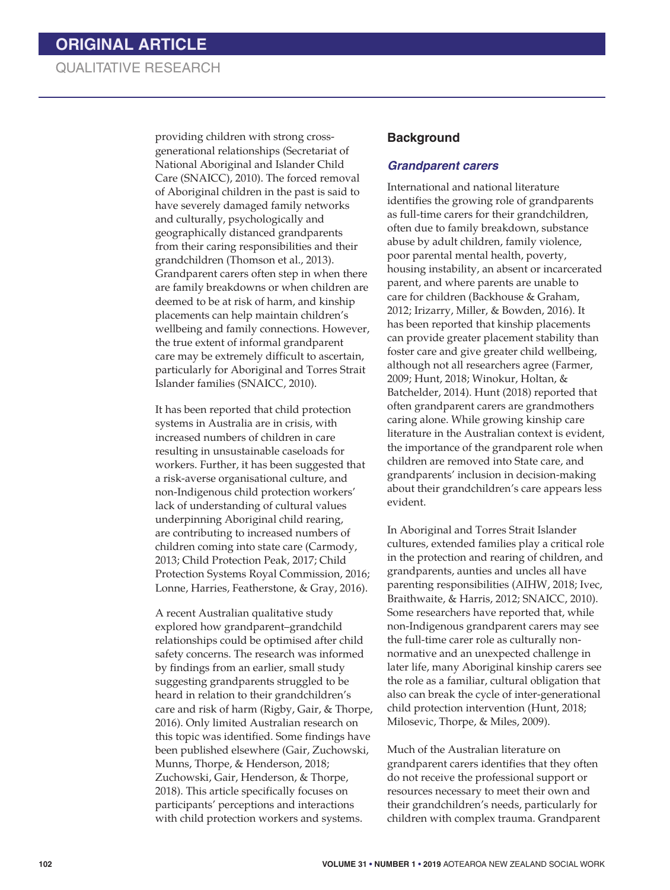providing children with strong crossgenerational relationships (Secretariat of National Aboriginal and Islander Child Care (SNAICC), 2010). The forced removal of Aboriginal children in the past is said to have severely damaged family networks and culturally, psychologically and geographically distanced grandparents from their caring responsibilities and their grandchildren (Thomson et al., 2013). Grandparent carers often step in when there are family breakdowns or when children are deemed to be at risk of harm, and kinship placements can help maintain children's wellbeing and family connections. However, the true extent of informal grandparent care may be extremely difficult to ascertain, particularly for Aboriginal and Torres Strait Islander families (SNAICC, 2010).

It has been reported that child protection systems in Australia are in crisis, with increased numbers of children in care resulting in unsustainable caseloads for workers. Further, it has been suggested that a risk-averse organisational culture, and non-Indigenous child protection workers' lack of understanding of cultural values underpinning Aboriginal child rearing, are contributing to increased numbers of children coming into state care (Carmody, 2013; Child Protection Peak, 2017; Child Protection Systems Royal Commission, 2016; Lonne, Harries, Featherstone, & Gray, 2016).

A recent Australian qualitative study explored how grandparent–grandchild relationships could be optimised after child safety concerns. The research was informed by findings from an earlier, small study suggesting grandparents struggled to be heard in relation to their grandchildren's care and risk of harm (Rigby, Gair, & Thorpe, 2016). Only limited Australian research on this topic was identified. Some findings have been published elsewhere (Gair, Zuchowski, Munns, Thorpe, & Henderson, 2018; Zuchowski, Gair, Henderson, & Thorpe, 2018). This article specifically focuses on participants' perceptions and interactions with child protection workers and systems.

#### **Background**

#### *Grandparent carers*

International and national literature identifies the growing role of grandparents as full-time carers for their grandchildren, often due to family breakdown, substance abuse by adult children, family violence, poor parental mental health, poverty, housing instability, an absent or incarcerated parent, and where parents are unable to care for children (Backhouse & Graham, 2012; Irizarry, Miller, & Bowden, 2016). It has been reported that kinship placements can provide greater placement stability than foster care and give greater child wellbeing, although not all researchers agree (Farmer, 2009; Hunt, 2018; Winokur, Holtan, & Batchelder, 2014). Hunt (2018) reported that often grandparent carers are grandmothers caring alone. While growing kinship care literature in the Australian context is evident, the importance of the grandparent role when children are removed into State care, and grandparents' inclusion in decision-making about their grandchildren's care appears less evident.

In Aboriginal and Torres Strait Islander cultures, extended families play a critical role in the protection and rearing of children, and grandparents, aunties and uncles all have parenting responsibilities (AIHW, 2018; Ivec, Braithwaite, & Harris, 2012; SNAICC, 2010). Some researchers have reported that, while non-Indigenous grandparent carers may see the full-time carer role as culturally nonnormative and an unexpected challenge in later life, many Aboriginal kinship carers see the role as a familiar, cultural obligation that also can break the cycle of inter-generational child protection intervention (Hunt, 2018; Milosevic, Thorpe, & Miles, 2009).

Much of the Australian literature on grandparent carers identifies that they often do not receive the professional support or resources necessary to meet their own and their grandchildren's needs, particularly for children with complex trauma. Grandparent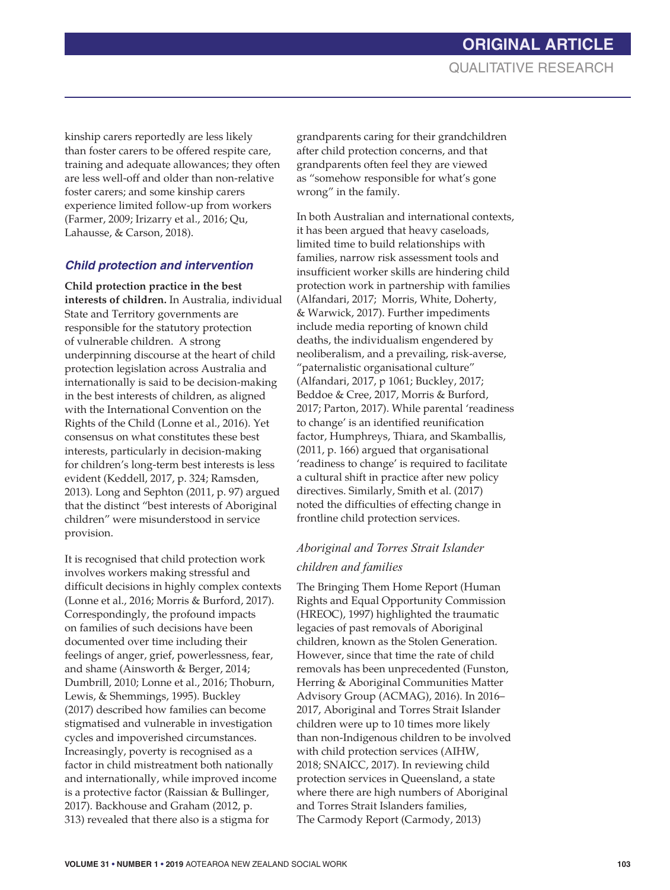kinship carers reportedly are less likely than foster carers to be offered respite care, training and adequate allowances; they often are less well-off and older than non-relative foster carers; and some kinship carers experience limited follow-up from workers (Farmer, 2009; Irizarry et al., 2016; Qu, Lahausse, & Carson, 2018).

# *Child protection and intervention*

**Child protection practice in the best interests of children.** In Australia, individual State and Territory governments are responsible for the statutory protection of vulnerable children. A strong underpinning discourse at the heart of child protection legislation across Australia and internationally is said to be decision-making in the best interests of children, as aligned with the International Convention on the Rights of the Child (Lonne et al., 2016). Yet consensus on what constitutes these best interests, particularly in decision-making for children's long-term best interests is less evident (Keddell, 2017, p. 324; Ramsden, 2013). Long and Sephton (2011, p. 97) argued that the distinct "best interests of Aboriginal children" were misunderstood in service provision.

It is recognised that child protection work involves workers making stressful and difficult decisions in highly complex contexts (Lonne et al., 2016; Morris & Burford, 2017). Correspondingly, the profound impacts on families of such decisions have been documented over time including their feelings of anger, grief, powerlessness, fear, and shame (Ainsworth & Berger, 2014; Dumbrill, 2010; Lonne et al., 2016; Thoburn, Lewis, & Shemmings, 1995). Buckley (2017) described how families can become stigmatised and vulnerable in investigation cycles and impoverished circumstances. Increasingly, poverty is recognised as a factor in child mistreatment both nationally and internationally, while improved income is a protective factor (Raissian & Bullinger, 2017). Backhouse and Graham (2012, p. 313) revealed that there also is a stigma for

grandparents caring for their grandchildren after child protection concerns, and that grandparents often feel they are viewed as "somehow responsible for what's gone wrong" in the family.

In both Australian and international contexts, it has been argued that heavy caseloads, limited time to build relationships with families, narrow risk assessment tools and insufficient worker skills are hindering child protection work in partnership with families (Alfandari, 2017; Morris, White, Doherty, & Warwick, 2017). Further impediments include media reporting of known child deaths, the individualism engendered by neoliberalism, and a prevailing, risk-averse, "paternalistic organisational culture" (Alfandari, 2017, p 1061; Buckley, 2017; Beddoe & Cree, 2017, Morris & Burford, 2017; Parton, 2017). While parental 'readiness to change' is an identified reunification factor, Humphreys, Thiara, and Skamballis, (2011, p. 166) argued that organisational 'readiness to change' is required to facilitate a cultural shift in practice after new policy directives. Similarly, Smith et al. (2017) noted the difficulties of effecting change in frontline child protection services.

# *Aboriginal and Torres Strait Islander children and families*

The Bringing Them Home Report (Human Rights and Equal Opportunity Commission (HREOC), 1997) highlighted the traumatic legacies of past removals of Aboriginal children, known as the Stolen Generation. However, since that time the rate of child removals has been unprecedented (Funston, Herring & Aboriginal Communities Matter Advisory Group (ACMAG), 2016). In 2016– 2017, Aboriginal and Torres Strait Islander children were up to 10 times more likely than non-Indigenous children to be involved with child protection services (AIHW, 2018; SNAICC, 2017). In reviewing child protection services in Queensland, a state where there are high numbers of Aboriginal and Torres Strait Islanders families, The Carmody Report (Carmody, 2013)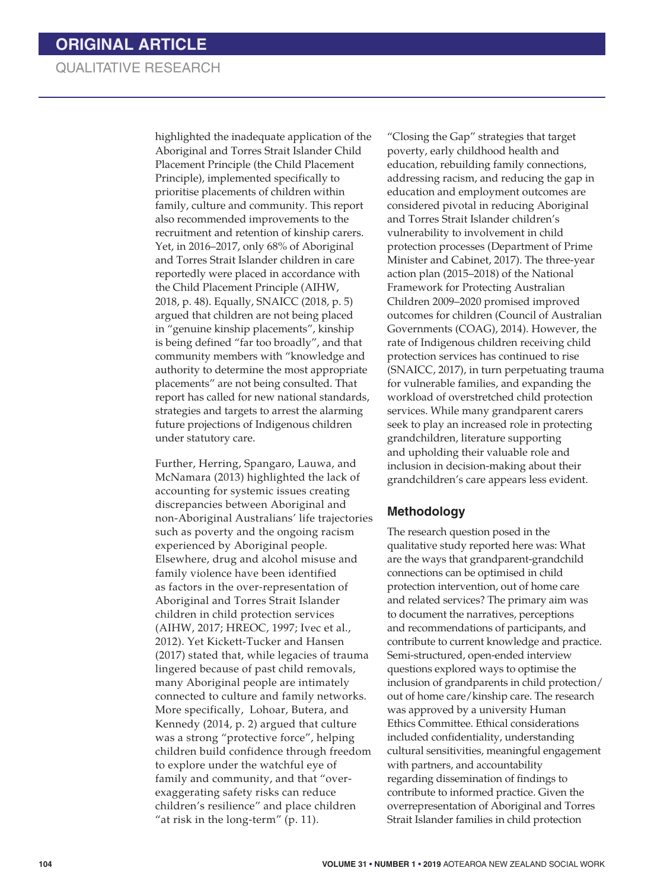highlighted the inadequate application of the Aboriginal and Torres Strait Islander Child Placement Principle (the Child Placement Principle), implemented specifically to prioritise placements of children within family, culture and community. This report also recommended improvements to the recruitment and retention of kinship carers. Yet, in 2016–2017, only 68% of Aboriginal and Torres Strait Islander children in care reportedly were placed in accordance with the Child Placement Principle (AIHW, 2018, p. 48). Equally, SNAICC (2018, p. 5) argued that children are not being placed in "genuine kinship placements", kinship is being defined "far too broadly", and that community members with "knowledge and authority to determine the most appropriate placements" are not being consulted. That report has called for new national standards, strategies and targets to arrest the alarming future projections of Indigenous children under statutory care.

Further, Herring, Spangaro, Lauwa, and McNamara (2013) highlighted the lack of accounting for systemic issues creating discrepancies between Aboriginal and non-Aboriginal Australians' life trajectories such as poverty and the ongoing racism experienced by Aboriginal people. Elsewhere, drug and alcohol misuse and family violence have been identified as factors in the over-representation of Aboriginal and Torres Strait Islander children in child protection services (AIHW, 2017; HREOC, 1997; Ivec et al., 2012). Yet Kickett-Tucker and Hansen (2017) stated that, while legacies of trauma lingered because of past child removals, many Aboriginal people are intimately connected to culture and family networks. More specifically, Lohoar, Butera, and Kennedy (2014, p. 2) argued that culture was a strong "protective force", helping children build confidence through freedom to explore under the watchful eye of family and community, and that "overexaggerating safety risks can reduce children's resilience" and place children "at risk in the long-term" (p. 11).

"Closing the Gap" strategies that target poverty, early childhood health and education, rebuilding family connections, addressing racism, and reducing the gap in education and employment outcomes are considered pivotal in reducing Aboriginal and Torres Strait Islander children's vulnerability to involvement in child protection processes (Department of Prime Minister and Cabinet, 2017). The three-year action plan (2015–2018) of the National Framework for Protecting Australian Children 2009–2020 promised improved outcomes for children (Council of Australian Governments (COAG), 2014). However, the rate of Indigenous children receiving child protection services has continued to rise (SNAICC, 2017), in turn perpetuating trauma for vulnerable families, and expanding the workload of overstretched child protection services. While many grandparent carers seek to play an increased role in protecting grandchildren, literature supporting and upholding their valuable role and inclusion in decision-making about their grandchildren's care appears less evident.

## **Methodology**

The research question posed in the qualitative study reported here was: What are the ways that grandparent-grandchild connections can be optimised in child protection intervention, out of home care and related services? The primary aim was to document the narratives, perceptions and recommendations of participants, and contribute to current knowledge and practice. Semi-structured, open-ended interview questions explored ways to optimise the inclusion of grandparents in child protection/ out of home care/kinship care. The research was approved by a university Human Ethics Committee. Ethical considerations included confidentiality, understanding cultural sensitivities, meaningful engagement with partners, and accountability regarding dissemination of findings to contribute to informed practice. Given the overrepresentation of Aboriginal and Torres Strait Islander families in child protection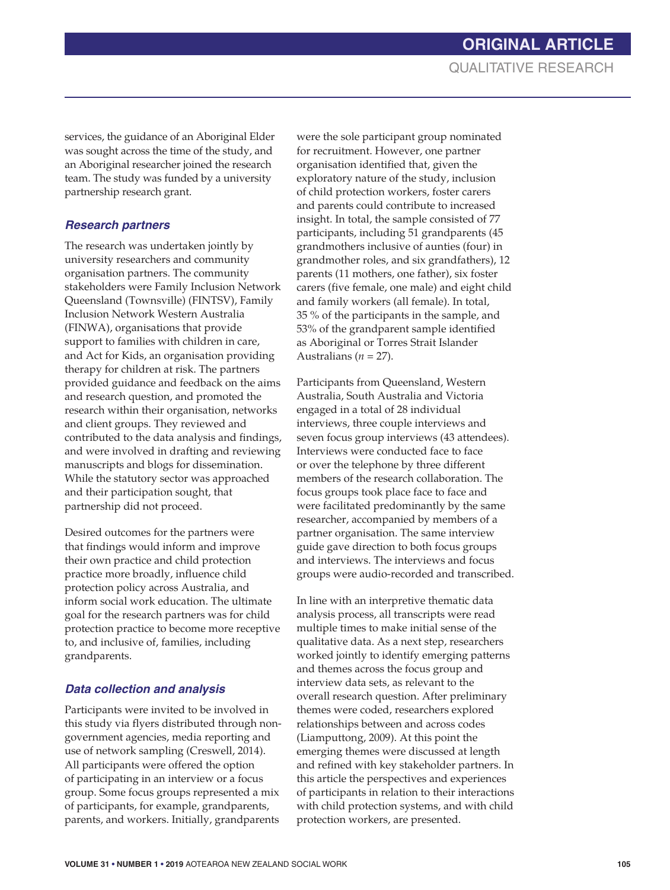services, the guidance of an Aboriginal Elder was sought across the time of the study, and an Aboriginal researcher joined the research team. The study was funded by a university partnership research grant.

## *Research partners*

The research was undertaken jointly by university researchers and community organisation partners. The community stakeholders were Family Inclusion Network Queensland (Townsville) (FINTSV), Family Inclusion Network Western Australia (FINWA), organisations that provide support to families with children in care, and Act for Kids, an organisation providing therapy for children at risk. The partners provided guidance and feedback on the aims and research question, and promoted the research within their organisation, networks and client groups. They reviewed and contributed to the data analysis and findings, and were involved in drafting and reviewing manuscripts and blogs for dissemination. While the statutory sector was approached and their participation sought, that partnership did not proceed.

Desired outcomes for the partners were that findings would inform and improve their own practice and child protection practice more broadly, influence child protection policy across Australia, and inform social work education. The ultimate goal for the research partners was for child protection practice to become more receptive to, and inclusive of, families, including grandparents.

# *Data collection and analysis*

Participants were invited to be involved in this study via flyers distributed through nongovernment agencies, media reporting and use of network sampling (Creswell, 2014). All participants were offered the option of participating in an interview or a focus group. Some focus groups represented a mix of participants, for example, grandparents, parents, and workers. Initially, grandparents

were the sole participant group nominated for recruitment. However, one partner organisation identified that, given the exploratory nature of the study, inclusion of child protection workers, foster carers and parents could contribute to increased insight. In total, the sample consisted of 77 participants, including 51 grandparents (45 grandmothers inclusive of aunties (four) in grandmother roles, and six grandfathers), 12 parents (11 mothers, one father), six foster carers (five female, one male) and eight child and family workers (all female). In total, 35 % of the participants in the sample, and 53% of the grandparent sample identified as Aboriginal or Torres Strait Islander Australians ( $n = 27$ ).

Participants from Queensland, Western Australia, South Australia and Victoria engaged in a total of 28 individual interviews, three couple interviews and seven focus group interviews (43 attendees). Interviews were conducted face to face or over the telephone by three different members of the research collaboration. The focus groups took place face to face and were facilitated predominantly by the same researcher, accompanied by members of a partner organisation. The same interview guide gave direction to both focus groups and interviews. The interviews and focus groups were audio-recorded and transcribed.

In line with an interpretive thematic data analysis process, all transcripts were read multiple times to make initial sense of the qualitative data. As a next step, researchers worked jointly to identify emerging patterns and themes across the focus group and interview data sets, as relevant to the overall research question. After preliminary themes were coded, researchers explored relationships between and across codes (Liamputtong, 2009). At this point the emerging themes were discussed at length and refined with key stakeholder partners. In this article the perspectives and experiences of participants in relation to their interactions with child protection systems, and with child protection workers, are presented.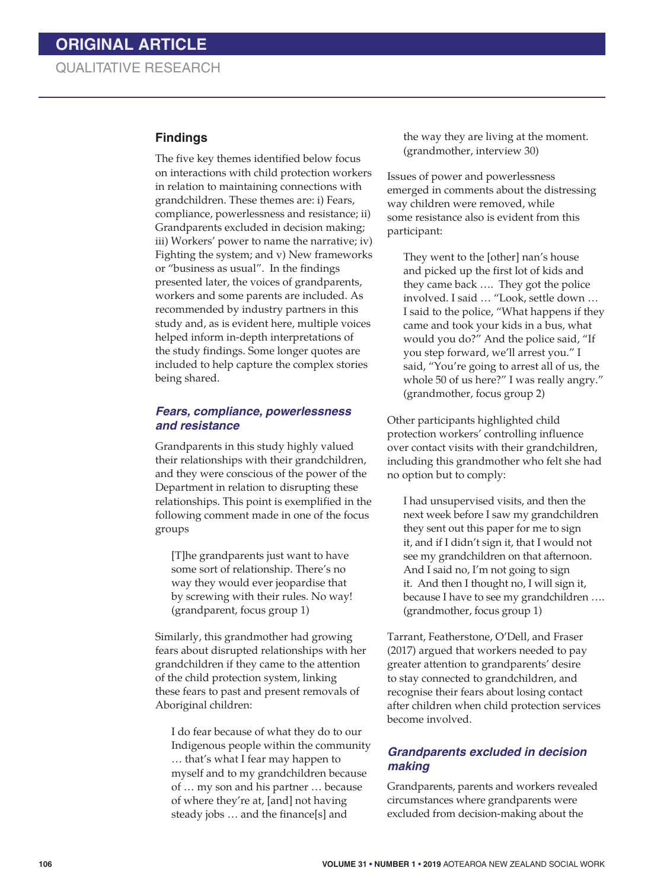#### **Findings**

The five key themes identified below focus on interactions with child protection workers in relation to maintaining connections with grandchildren. These themes are: i) Fears, compliance, powerlessness and resistance; ii) Grandparents excluded in decision making; iii) Workers' power to name the narrative; iv) Fighting the system; and v) New frameworks or "business as usual". In the findings presented later, the voices of grandparents, workers and some parents are included. As recommended by industry partners in this study and, as is evident here, multiple voices helped inform in-depth interpretations of the study findings. Some longer quotes are included to help capture the complex stories being shared.

#### *Fears, compliance, powerlessness and resistance*

Grandparents in this study highly valued their relationships with their grandchildren, and they were conscious of the power of the Department in relation to disrupting these relationships. This point is exemplified in the following comment made in one of the focus groups

[T]he grandparents just want to have some sort of relationship. There's no way they would ever jeopardise that by screwing with their rules. No way! (grandparent, focus group 1)

Similarly, this grandmother had growing fears about disrupted relationships with her grandchildren if they came to the attention of the child protection system, linking these fears to past and present removals of Aboriginal children:

I do fear because of what they do to our Indigenous people within the community … that's what I fear may happen to myself and to my grandchildren because of … my son and his partner … because of where they're at, [and] not having steady jobs … and the finance[s] and

the way they are living at the moment. (grandmother, interview 30)

Issues of power and powerlessness emerged in comments about the distressing way children were removed, while some resistance also is evident from this participant:

They went to the [other] nan's house and picked up the first lot of kids and they came back …. They got the police involved. I said … "Look, settle down … I said to the police, "What happens if they came and took your kids in a bus, what would you do?" And the police said, "If you step forward, we'll arrest you." I said, "You're going to arrest all of us, the whole 50 of us here?" I was really angry." (grandmother, focus group 2)

Other participants highlighted child protection workers' controlling influence over contact visits with their grandchildren, including this grandmother who felt she had no option but to comply:

I had unsupervised visits, and then the next week before I saw my grandchildren they sent out this paper for me to sign it, and if I didn't sign it, that I would not see my grandchildren on that afternoon. And I said no, I'm not going to sign it. And then I thought no, I will sign it, because I have to see my grandchildren …. (grandmother, focus group 1)

Tarrant, Featherstone, O'Dell, and Fraser (2017) argued that workers needed to pay greater attention to grandparents' desire to stay connected to grandchildren, and recognise their fears about losing contact after children when child protection services become involved.

#### *Grandparents excluded in decision making*

Grandparents, parents and workers revealed circumstances where grandparents were excluded from decision-making about the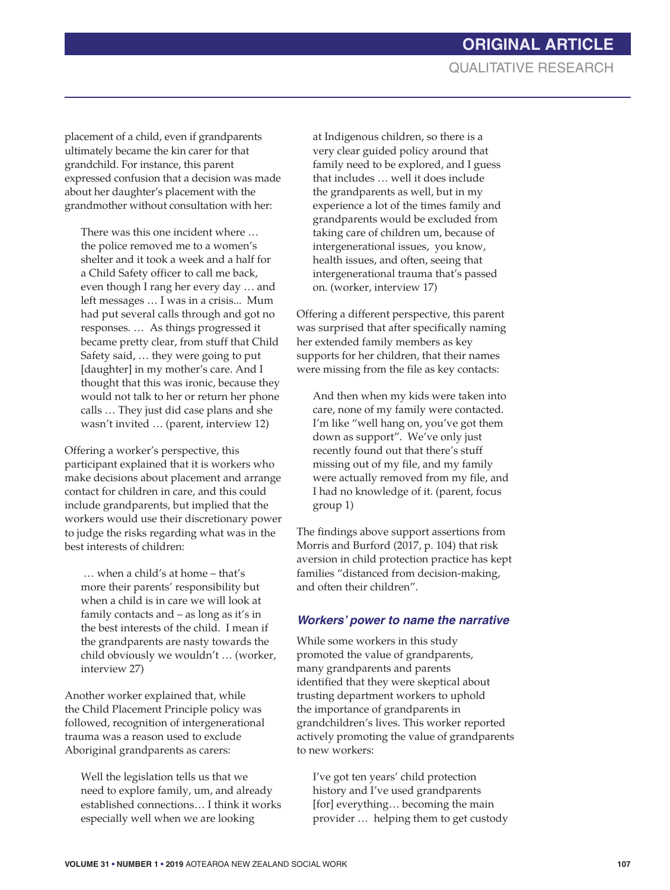placement of a child, even if grandparents ultimately became the kin carer for that grandchild. For instance, this parent expressed confusion that a decision was made about her daughter's placement with the grandmother without consultation with her:

There was this one incident where … the police removed me to a women's shelter and it took a week and a half for a Child Safety officer to call me back, even though I rang her every day … and left messages … I was in a crisis... Mum had put several calls through and got no responses. … As things progressed it became pretty clear, from stuff that Child Safety said, … they were going to put [daughter] in my mother's care. And I thought that this was ironic, because they would not talk to her or return her phone calls … They just did case plans and she wasn't invited … (parent, interview 12)

Offering a worker's perspective, this participant explained that it is workers who make decisions about placement and arrange contact for children in care, and this could include grandparents, but implied that the workers would use their discretionary power to judge the risks regarding what was in the best interests of children:

… when a child's at home – that's more their parents' responsibility but when a child is in care we will look at family contacts and – as long as it's in the best interests of the child. I mean if the grandparents are nasty towards the child obviously we wouldn't … (worker, interview 27)

Another worker explained that, while the Child Placement Principle policy was followed, recognition of intergenerational trauma was a reason used to exclude Aboriginal grandparents as carers:

Well the legislation tells us that we need to explore family, um, and already established connections… I think it works especially well when we are looking

at Indigenous children, so there is a very clear guided policy around that family need to be explored, and I guess that includes … well it does include the grandparents as well, but in my experience a lot of the times family and grandparents would be excluded from taking care of children um, because of intergenerational issues, you know, health issues, and often, seeing that intergenerational trauma that's passed on. (worker, interview 17)

Offering a different perspective, this parent was surprised that after specifically naming her extended family members as key supports for her children, that their names were missing from the file as key contacts:

And then when my kids were taken into care, none of my family were contacted. I'm like "well hang on, you've got them down as support". We've only just recently found out that there's stuff missing out of my file, and my family were actually removed from my file, and I had no knowledge of it. (parent, focus group 1)

The findings above support assertions from Morris and Burford (2017, p. 104) that risk aversion in child protection practice has kept families "distanced from decision-making, and often their children".

## *Workers' power to name the narrative*

While some workers in this study promoted the value of grandparents, many grandparents and parents identified that they were skeptical about trusting department workers to uphold the importance of grandparents in grandchildren's lives. This worker reported actively promoting the value of grandparents to new workers:

I've got ten years' child protection history and I've used grandparents [for] everything… becoming the main provider … helping them to get custody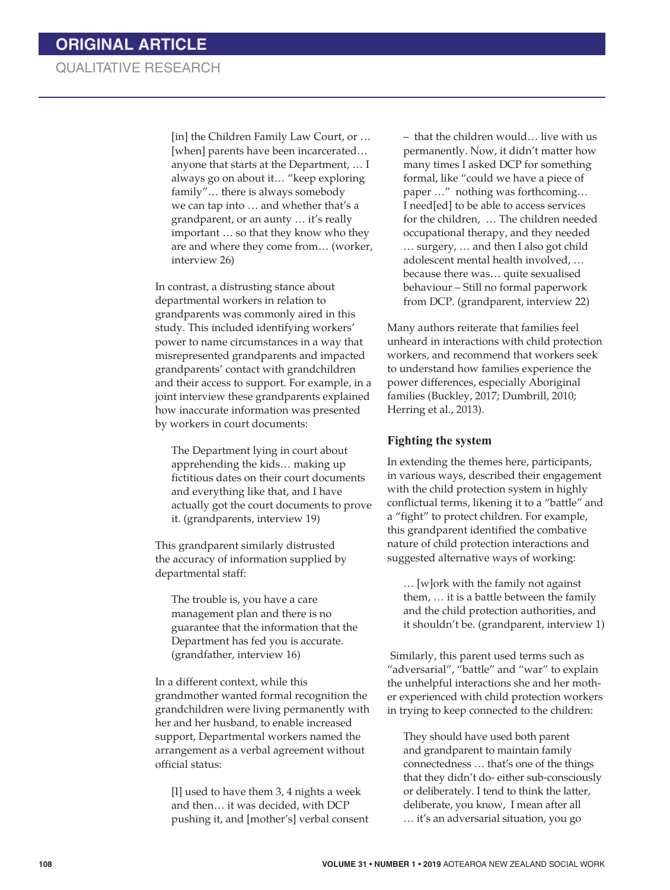[in] the Children Family Law Court, or … [when] parents have been incarcerated... anyone that starts at the Department, … I always go on about it… "keep exploring family"… there is always somebody we can tap into … and whether that's a grandparent, or an aunty … it's really important … so that they know who they are and where they come from… (worker, interview 26)

In contrast, a distrusting stance about departmental workers in relation to grandparents was commonly aired in this study. This included identifying workers' power to name circumstances in a way that misrepresented grandparents and impacted grandparents' contact with grandchildren and their access to support. For example, in a joint interview these grandparents explained how inaccurate information was presented by workers in court documents:

The Department lying in court about apprehending the kids… making up fictitious dates on their court documents and everything like that, and I have actually got the court documents to prove it. (grandparents, interview 19)

This grandparent similarly distrusted the accuracy of information supplied by departmental staff:

The trouble is, you have a care management plan and there is no guarantee that the information that the Department has fed you is accurate. (grandfather, interview 16)

In a different context, while this grandmother wanted formal recognition the grandchildren were living permanently with her and her husband, to enable increased support, Departmental workers named the arrangement as a verbal agreement without official status:

[I] used to have them 3, 4 nights a week and then… it was decided, with DCP pushing it, and [mother's] verbal consent – that the children would… live with us permanently. Now, it didn't matter how many times I asked DCP for something formal, like "could we have a piece of paper …" nothing was forthcoming… I need[ed] to be able to access services for the children, … The children needed occupational therapy, and they needed … surgery, … and then I also got child adolescent mental health involved, … because there was… quite sexualised behaviour – Still no formal paperwork from DCP. (grandparent, interview 22)

Many authors reiterate that families feel unheard in interactions with child protection workers, and recommend that workers seek to understand how families experience the power differences, especially Aboriginal families (Buckley, 2017; Dumbrill, 2010; Herring et al., 2013).

#### **Fighting the system**

In extending the themes here, participants, in various ways, described their engagement with the child protection system in highly conflictual terms, likening it to a "battle" and a "fight" to protect children. For example, this grandparent identified the combative nature of child protection interactions and suggested alternative ways of working:

… [w]ork with the family not against them, *…* it is a battle between the family and the child protection authorities, and it shouldn't be. (grandparent, interview 1)

Similarly, this parent used terms such as "adversarial", "battle" and "war" to explain the unhelpful interactions she and her mother experienced with child protection workers in trying to keep connected to the children:

They should have used both parent and grandparent to maintain family connectedness … that's one of the things that they didn't do- either sub-consciously or deliberately. I tend to think the latter, deliberate, you know, I mean after all … it's an adversarial situation, you go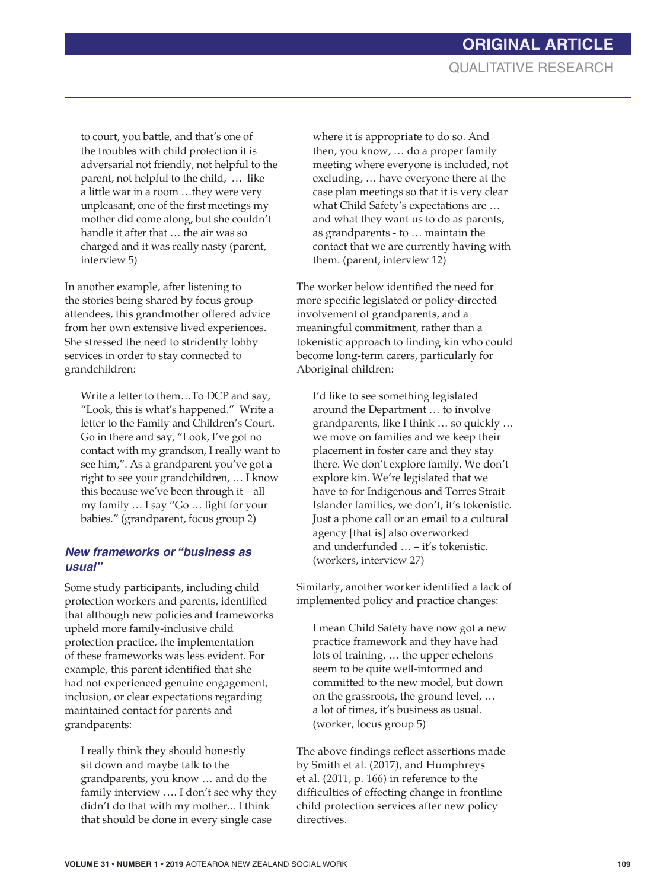to court, you battle, and that's one of the troubles with child protection it is adversarial not friendly, not helpful to the parent, not helpful to the child, … like a little war in a room …they were very unpleasant, one of the first meetings my mother did come along, but she couldn't handle it after that … the air was so charged and it was really nasty (parent, interview 5)

In another example, after listening to the stories being shared by focus group attendees, this grandmother offered advice from her own extensive lived experiences. She stressed the need to stridently lobby services in order to stay connected to grandchildren:

Write a letter to them…To DCP and say, "Look, this is what's happened." Write a letter to the Family and Children's Court. Go in there and say, "Look, I've got no contact with my grandson, I really want to see him,". As a grandparent you've got a right to see your grandchildren, … I know this because we've been through it – all my family … I say "Go … fight for your babies." (grandparent, focus group 2)

#### *New frameworks or "business as usual"*

Some study participants, including child protection workers and parents, identified that although new policies and frameworks upheld more family-inclusive child protection practice, the implementation of these frameworks was less evident. For example, this parent identified that she had not experienced genuine engagement, inclusion, or clear expectations regarding maintained contact for parents and grandparents:

I really think they should honestly sit down and maybe talk to the grandparents, you know … and do the family interview …. I don't see why they didn't do that with my mother... I think that should be done in every single case

where it is appropriate to do so. And then, you know, … do a proper family meeting where everyone is included, not excluding, … have everyone there at the case plan meetings so that it is very clear what Child Safety's expectations are … and what they want us to do as parents, as grandparents - to … maintain the contact that we are currently having with them. (parent, interview 12)

The worker below identified the need for more specific legislated or policy-directed involvement of grandparents, and a meaningful commitment, rather than a tokenistic approach to finding kin who could become long-term carers, particularly for Aboriginal children:

I'd like to see something legislated around the Department … to involve grandparents, like I think … so quickly … we move on families and we keep their placement in foster care and they stay there. We don't explore family. We don't explore kin. We're legislated that we have to for Indigenous and Torres Strait Islander families, we don't, it's tokenistic. Just a phone call or an email to a cultural agency [that is] also overworked and underfunded … – it's tokenistic. (workers, interview 27)

Similarly, another worker identified a lack of implemented policy and practice changes:

I mean Child Safety have now got a new practice framework and they have had lots of training, … the upper echelons seem to be quite well-informed and committed to the new model, but down on the grassroots, the ground level, … a lot of times, it's business as usual. (worker, focus group 5)

The above findings reflect assertions made by Smith et al. (2017), and Humphreys et al. (2011, p. 166) in reference to the difficulties of effecting change in frontline child protection services after new policy directives.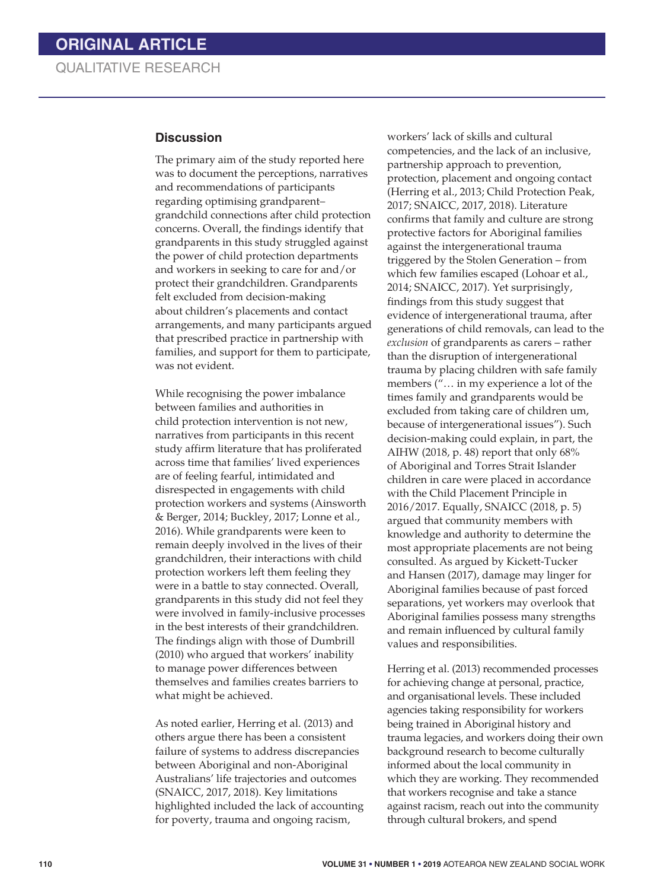#### **Discussion**

The primary aim of the study reported here was to document the perceptions, narratives and recommendations of participants regarding optimising grandparent– grandchild connections after child protection concerns. Overall, the findings identify that grandparents in this study struggled against the power of child protection departments and workers in seeking to care for and/or protect their grandchildren. Grandparents felt excluded from decision-making about children's placements and contact arrangements, and many participants argued that prescribed practice in partnership with families, and support for them to participate, was not evident.

While recognising the power imbalance between families and authorities in child protection intervention is not new, narratives from participants in this recent study affirm literature that has proliferated across time that families' lived experiences are of feeling fearful, intimidated and disrespected in engagements with child protection workers and systems (Ainsworth & Berger, 2014; Buckley, 2017; Lonne et al., 2016). While grandparents were keen to remain deeply involved in the lives of their grandchildren, their interactions with child protection workers left them feeling they were in a battle to stay connected. Overall, grandparents in this study did not feel they were involved in family-inclusive processes in the best interests of their grandchildren. The findings align with those of Dumbrill (2010) who argued that workers' inability to manage power differences between themselves and families creates barriers to what might be achieved.

As noted earlier, Herring et al. (2013) and others argue there has been a consistent failure of systems to address discrepancies between Aboriginal and non-Aboriginal Australians' life trajectories and outcomes (SNAICC, 2017, 2018). Key limitations highlighted included the lack of accounting for poverty, trauma and ongoing racism,

workers' lack of skills and cultural competencies, and the lack of an inclusive, partnership approach to prevention, protection, placement and ongoing contact (Herring et al., 2013; Child Protection Peak, 2017; SNAICC, 2017, 2018). Literature confirms that family and culture are strong protective factors for Aboriginal families against the intergenerational trauma triggered by the Stolen Generation – from which few families escaped (Lohoar et al., 2014; SNAICC, 2017). Yet surprisingly, findings from this study suggest that evidence of intergenerational trauma, after generations of child removals, can lead to the *exclusion* of grandparents as carers – rather than the disruption of intergenerational trauma by placing children with safe family members ("… in my experience a lot of the times family and grandparents would be excluded from taking care of children um, because of intergenerational issues"). Such decision-making could explain, in part, the AIHW (2018, p. 48) report that only 68% of Aboriginal and Torres Strait Islander children in care were placed in accordance with the Child Placement Principle in 2016/2017. Equally, SNAICC (2018, p. 5) argued that community members with knowledge and authority to determine the most appropriate placements are not being consulted. As argued by Kickett-Tucker and Hansen (2017), damage may linger for Aboriginal families because of past forced separations, yet workers may overlook that Aboriginal families possess many strengths and remain influenced by cultural family values and responsibilities.

Herring et al. (2013) recommended processes for achieving change at personal, practice, and organisational levels. These included agencies taking responsibility for workers being trained in Aboriginal history and trauma legacies, and workers doing their own background research to become culturally informed about the local community in which they are working. They recommended that workers recognise and take a stance against racism, reach out into the community through cultural brokers, and spend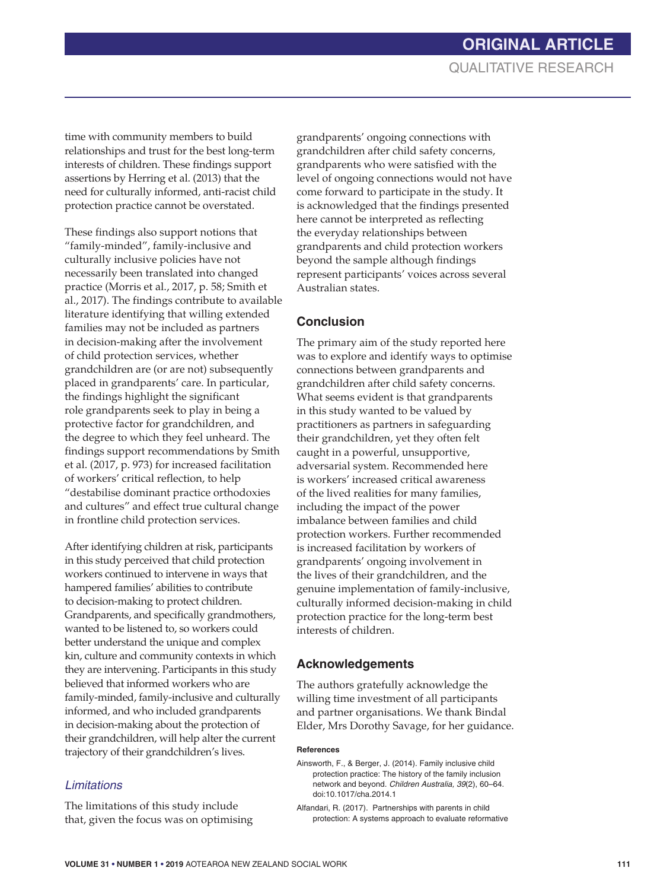time with community members to build relationships and trust for the best long-term interests of children. These findings support assertions by Herring et al. (2013) that the need for culturally informed, anti-racist child protection practice cannot be overstated.

These findings also support notions that "family-minded", family-inclusive and culturally inclusive policies have not necessarily been translated into changed practice (Morris et al., 2017, p. 58; Smith et al., 2017). The findings contribute to available literature identifying that willing extended families may not be included as partners in decision-making after the involvement of child protection services, whether grandchildren are (or are not) subsequently placed in grandparents' care. In particular, the findings highlight the significant role grandparents seek to play in being a protective factor for grandchildren, and the degree to which they feel unheard. The findings support recommendations by Smith et al. (2017, p. 973) for increased facilitation of workers' critical reflection, to help "destabilise dominant practice orthodoxies and cultures" and effect true cultural change in frontline child protection services.

After identifying children at risk, participants in this study perceived that child protection workers continued to intervene in ways that hampered families' abilities to contribute to decision-making to protect children. Grandparents, and specifically grandmothers, wanted to be listened to, so workers could better understand the unique and complex kin, culture and community contexts in which they are intervening. Participants in this study believed that informed workers who are family-minded, family-inclusive and culturally informed, and who included grandparents in decision-making about the protection of their grandchildren, will help alter the current trajectory of their grandchildren's lives.

## *Limitations*

The limitations of this study include that, given the focus was on optimising

grandparents' ongoing connections with grandchildren after child safety concerns, grandparents who were satisfied with the level of ongoing connections would not have come forward to participate in the study. It is acknowledged that the findings presented here cannot be interpreted as reflecting the everyday relationships between grandparents and child protection workers beyond the sample although findings represent participants' voices across several Australian states.

## **Conclusion**

The primary aim of the study reported here was to explore and identify ways to optimise connections between grandparents and grandchildren after child safety concerns. What seems evident is that grandparents in this study wanted to be valued by practitioners as partners in safeguarding their grandchildren, yet they often felt caught in a powerful, unsupportive, adversarial system. Recommended here is workers' increased critical awareness of the lived realities for many families, including the impact of the power imbalance between families and child protection workers. Further recommended is increased facilitation by workers of grandparents' ongoing involvement in the lives of their grandchildren, and the genuine implementation of family-inclusive, culturally informed decision-making in child protection practice for the long-term best interests of children.

## **Acknowledgements**

The authors gratefully acknowledge the willing time investment of all participants and partner organisations. We thank Bindal Elder, Mrs Dorothy Savage, for her guidance.

#### **References**

- Ainsworth, F., & Berger, J. (2014). Family inclusive child protection practice: The history of the family inclusion network and beyond. *Children Australia, 39*(2), 60–64. doi:10.1017/cha.2014.1
- Alfandari, R. (2017). Partnerships with parents in child protection: A systems approach to evaluate reformative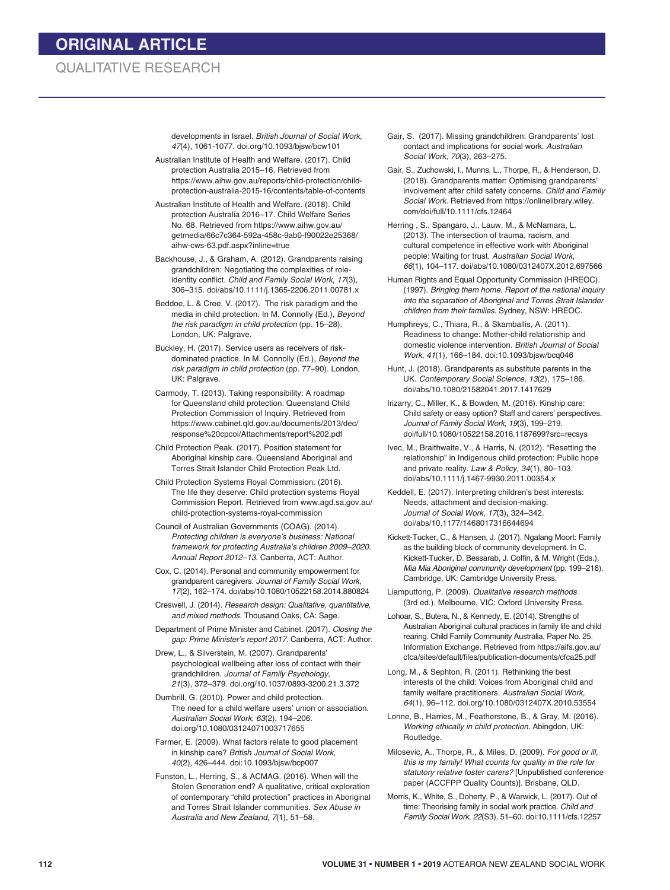developments in Israel. *British Journal of Social Work*, *47*(4), 1061-1077. doi.org/10.1093/bjsw/bcw101

- Australian Institute of Health and Welfare. (2017). Child protection Australia 2015–16*.* Retrieved from https://www.aihw.gov.au/reports/child-protection/childprotection-australia-2015-16/contents/table-of-contents
- Australian Institute of Health and Welfare. (2018). Child protection Australia 2016–17. Child Welfare Series No. 68. Retrieved from https://www.aihw.gov.au/ getmedia/66c7c364-592a-458c-9ab0-f90022e25368/ aihw-cws-63.pdf.aspx?inline=true
- Backhouse, J., & Graham, A. (2012). Grandparents raising grandchildren: Negotiating the complexities of roleidentity conflict. *Child and Family Social Work*, *17*(3), 306–315. doi/abs/10.1111/j.1365-2206.2011.00781.x
- Beddoe, L. & Cree, V. (2017). The risk paradigm and the media in child protection. In M. Connolly (Ed.), *Beyond the risk paradigm in child protection* (pp. 15–28). London, UK: Palgrave.
- Buckley, H. (2017). Service users as receivers of riskdominated practice. In M. Connolly (Ed.), *Beyond the risk paradigm in child protection* (pp. 77–90). London, UK: Palgrave.
- Carmody, T. (2013). Taking responsibility: A roadmap for Queensland child protection. Queensland Child Protection Commission of Inquiry. Retrieved from https://www.cabinet.qld.gov.au/documents/2013/dec/ response%20cpcoi/Attachments/report%202.pdf
- Child Protection Peak. (2017). Position statement for Aboriginal kinship care. Queensland Aboriginal and Torres Strait Islander Child Protection Peak Ltd.
- Child Protection Systems Royal Commission. (2016). The life they deserve: Child protection systems Royal Commission Report. Retrieved from www.agd.sa.gov.au/ child-protection-systems-royal-commission
- Council of Australian Governments (COAG). (2014). *Protecting children is everyone's business: National framework for protecting Australia's children 2009–2020*. *Annual Report 2012–13*. Canberra, ACT: Author.
- Cox, C. (2014). Personal and community empowerment for grandparent caregivers. *Journal of Family Social Work*, *17*(2), 162–174. doi/abs/10.1080/10522158.2014.880824
- Creswell, J. (2014). *Research design: Qualitative, quantitative, and mixed methods*. Thousand Oaks, CA: Sage.
- Department of Prime Minister and Cabinet. (2017). *Closing the gap: Prime Minister's report 2017*. Canberra, ACT: Author.
- Drew, L., & Silverstein, M. (2007). Grandparents' psychological wellbeing after loss of contact with their grandchildren. *Journal of Family Psychology*, *21*(3), 372–379. doi.org/10.1037/0893-3200.21.3.372
- Dumbrill, G. (2010). Power and child protection. The need for a child welfare users' union or association. *Australian Social Work*, *63*(2), 194–206. doi.org/10.1080/03124071003717655
- Farmer, E. (2009). What factors relate to good placement in kinship care? *British Journal of Social Work, 40*(2), 426–444. doi:10.1093/bjsw/bcp007
- Funston, L., Herring, S., & ACMAG. (2016). When will the Stolen Generation end? A qualitative, critical exploration of contemporary "child protection" practices in Aboriginal and Torres Strait Islander communities. *Sex Abuse in Australia and New Zealand*, *7*(1), 51–58.
- Gair, S. (2017). Missing grandchildren: Grandparents' lost contact and implications for social work. *Australian Social Work, 70*(3), 263–275.
- Gair, S., Zuchowski, I., Munns, L., Thorpe, R., & Henderson, D. (2018). Grandparents matter: Optimising grandparents' involvement after child safety concerns. *Child and Family Social Work*. Retrieved from https://onlinelibrary.wiley. com/doi/full/10.1111/cfs.12464
- Herring , S., Spangaro, J., Lauw, M., & McNamara, L. (2013). The intersection of trauma, racism, and cultural competence in effective work with Aboriginal people: Waiting for trust. *Australian Social Work*, *66*(1), 104–117. doi/abs/10.1080/0312407X.2012.697566
- Human Rights and Equal Opportunity Commission (HREOC). (1997). *Bringing them home. Report of the national inquiry into the separation of Aboriginal and Torres Strait Islander children from their families*. Sydney, NSW: HREOC.
- Humphreys, C., Thiara, R., & Skamballis, A. (2011). Readiness to change: Mother-child relationship and domestic violence intervention. *British Journal of Social Work*, *41*(1), 166–184. doi:10.1093/bjsw/bcq046
- Hunt, J. (2018). Grandparents as substitute parents in the UK. *Contemporary Social Science*, *13*(2), 175–186. doi/abs/10.1080/21582041.2017.1417629
- Irizarry, C., Miller, K., & Bowden, M. (2016). Kinship care: Child safety or easy option? Staff and carers' perspectives. *Journal of Family Social Work*, *19*(3), 199–219. doi/full/10.1080/10522158.2016.1187699?src=recsys
- Ivec, M., Braithwaite, V., & Harris, N. (2012). "Resetting the relationship" in Indigenous child protection: Public hope and private reality. *Law & Policy, 34*(1), 80–103. doi/abs/10.1111/j.1467-9930.2011.00354.x
- Keddell, E. (2017). Interpreting children's best interests: Needs, attachment and decision-making. *Journal of Social Work*, *17*(3)**,** 324–342. doi/abs/10.1177/1468017316644694
- Kickett-Tucker, C., & Hansen, J. (2017). Ngalang Moort: Family as the building block of community development. In C. Kickett-Tucker, D. Bessarab, J. Coffin, & M. Wright (Eds.), *Mia Mia Aboriginal community development* (pp. 199–216). Cambridge, UK: Cambridge University Press.
- Liamputtong, P. (2009). *Qualitative research methods* (3rd ed.). Melbourne, VIC: Oxford University Press.
- Lohoar, S., Butera, N., & Kennedy, E. (2014). Strengths of Australian Aboriginal cultural practices in family life and child rearing. Child Family Community Australia, Paper No. 25. Information Exchange. Retrieved from https://aifs.gov.au/ cfca/sites/default/files/publication-documents/cfca25.pdf
- Long, M., & Sephton, R. (2011). Rethinking the best interests of the child: Voices from Aboriginal child and family welfare practitioners. *Australian Social Work, 64*(1), 96–112. doi.org/10.1080/0312407X.2010.53554
- Lonne, B., Harries, M., Featherstone, B., & Gray, M. (2016). *Working ethically in child protection*. Abingdon, UK: Routledge.
- Milosevic, A., Thorpe, R., & Miles, D. (2009). *For good or ill, this is my family! What counts for quality in the role for statutory relative foster carers?* [Unpublished conference paper (ACCFPP Quality Counts)]. Brisbane, QLD.
- Morris, K., White, S., Doherty, P., & Warwick, L. (2017). Out of time: Theorising family in social work practice. *Child and Family Social Work*, *22*(S3), 51–60. doi:10.1111/cfs.12257